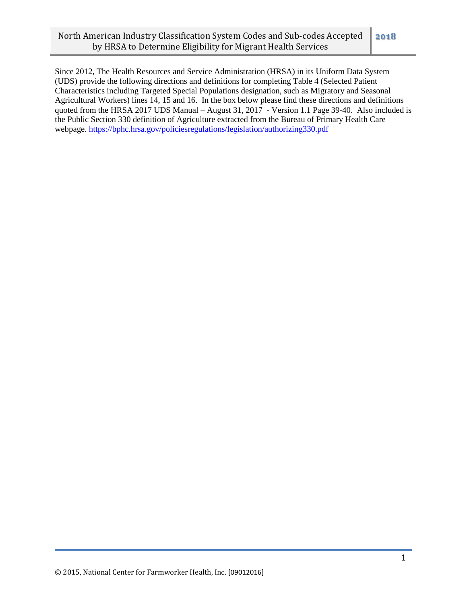Since 2012, The Health Resources and Service Administration (HRSA) in its Uniform Data System (UDS) provide the following directions and definitions for completing Table 4 (Selected Patient Characteristics including Targeted Special Populations designation, such as Migratory and Seasonal Agricultural Workers) lines 14, 15 and 16. In the box below please find these directions and definitions quoted from the HRSA 2017 UDS Manual – August 31, 2017 - Version 1.1 Page 39-40. Also included is the Public Section 330 definition of Agriculture extracted from the Bureau of Primary Health Care webpage.<https://bphc.hrsa.gov/policiesregulations/legislation/authorizing330.pdf>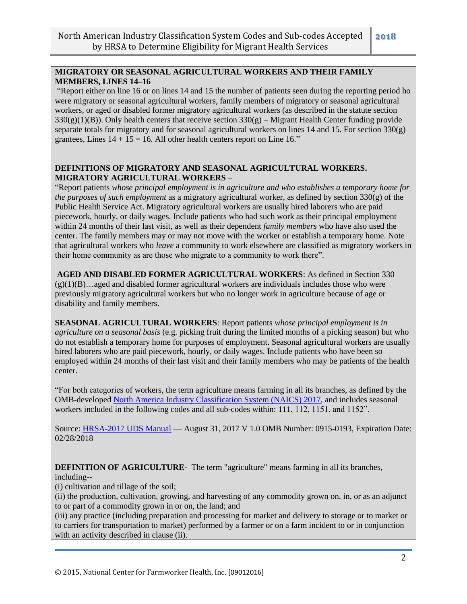# **MIGRATORY OR SEASONAL AGRICULTURAL WORKERS AND THEIR FAMILY MEMBERS, LINES 14–16**

"Report either on line 16 or on lines 14 and 15 the number of patients seen during the reporting period ho were migratory or seasonal agricultural workers, family members of migratory or seasonal agricultural workers, or aged or disabled former migratory agricultural workers (as described in the statute section  $330(g)(1)(B)$ ). Only health centers that receive section  $330(g)$  – Migrant Health Center funding provide separate totals for migratory and for seasonal agricultural workers on lines 14 and 15. For section 330(g) grantees, Lines  $14 + 15 = 16$ . All other health centers report on Line 16."

# **DEFINITIONS OF MIGRATORY AND SEASONAL AGRICULTURAL WORKERS. MIGRATORY AGRICULTURAL WORKERS** –

"Report patients *whose principal employment is in agriculture and who establishes a temporary home for the purposes of such employment* as a migratory agricultural worker, as defined by section 330(g) of the Public Health Service Act. Migratory agricultural workers are usually hired laborers who are paid piecework, hourly, or daily wages. Include patients who had such work as their principal employment within 24 months of their last visit, as well as their dependent *family members* who have also used the center. The family members may or may not move with the worker or establish a temporary home. Note that agricultural workers who *leave* a community to work elsewhere are classified as migratory workers in their home community as are those who migrate to a community to work there".

**AGED AND DISABLED FORMER AGRICULTURAL WORKERS**: As defined in Section 330  $(g)(1)(B)$ …aged and disabled former agricultural workers are individuals includes those who were previously migratory agricultural workers but who no longer work in agriculture because of age or disability and family members.

**SEASONAL AGRICULTURAL WORKERS**: Report patients *whose principal employment is in agriculture on a seasonal basis* (e.g. picking fruit during the limited months of a picking season) but who do not establish a temporary home for purposes of employment. Seasonal agricultural workers are usually hired laborers who are paid piecework, hourly, or daily wages. Include patients who have been so employed within 24 months of their last visit and their family members who may be patients of the health center.

"For both categories of workers, the term agriculture means farming in all its branches, as defined by the OMB-develope[d North America Industry Classification System \(NAICS\) 2017,](https://www.census.gov/eos/www/naics/) and includes seasonal workers included in the following codes and all sub-codes within: 111, 112, 1151, and 1152".

Source: HRSA-2017 [UDS Manual](http://bphc.hrsa.gov/datareporting/reporting/2015udsmanual.pdf) — August 31, 2017 V 1.0 OMB Number: 0915-0193, Expiration Date: 02/28/2018

**DEFINITION OF AGRICULTURE-** The term "agriculture" means farming in all its branches, including--

(i) cultivation and tillage of the soil;

(ii) the production, cultivation, growing, and harvesting of any commodity grown on, in, or as an adjunct to or part of a commodity grown in or on, the land; and

(iii) any practice (including preparation and processing for market and delivery to storage or to market or to carriers for transportation to market) performed by a farmer or on a farm incident to or in conjunction with an activity described in clause (ii).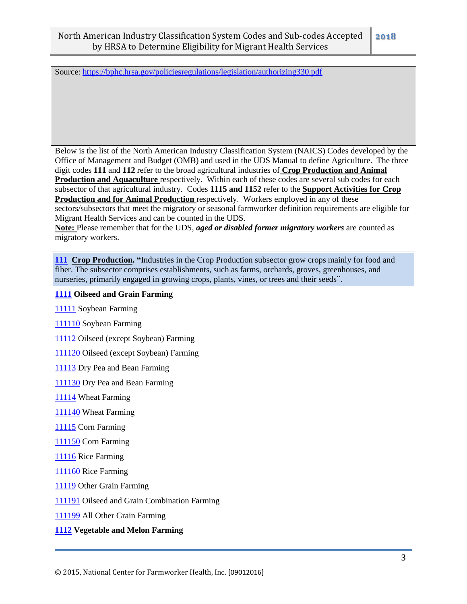Source: <https://bphc.hrsa.gov/policiesregulations/legislation/authorizing330.pdf>

Below is the list of the North American Industry Classification System (NAICS) Codes developed by the Office of Management and Budget (OMB) and used in the UDS Manual to define Agriculture. The three digit codes **111** and **112** refer to the broad agricultural industries of **Crop Production and Animal Production and Aquaculture** respectively. Within each of these codes are several sub codes for each subsector of that agricultural industry. Codes **1115 and 1152** refer to the **Support Activities for Crop Production and for Animal Production** respectively. Workers employed in any of these sectors/subsectors that meet the migratory or seasonal farmworker definition requirements are eligible for Migrant Health Services and can be counted in the UDS.

**Note:** Please remember that for the UDS, *aged or disabled former migratory workers* are counted as migratory workers.

**[111](http://www.census.gov/cgi-bin/sssd/naics/naicsrch?code=111&search=2012%20NAICS%20Search) Crop Production. "**Industries in the Crop Production subsector grow crops mainly for food and fiber. The subsector comprises establishments, such as farms, orchards, groves, greenhouses, and nurseries, primarily engaged in growing crops, plants, vines, or trees and their seeds".

#### **[1111](http://www.census.gov/cgi-bin/sssd/naics/naicsrch?code=1111&search=2012%20NAICS%20Search) Oilseed and Grain Farming**

[11111](http://www.census.gov/cgi-bin/sssd/naics/naicsrch?code=11111&search=2012%20NAICS%20Search) Soybean Farming

[111110](http://www.census.gov/cgi-bin/sssd/naics/naicsrch?code=111110&search=2012%20NAICS%20Search) Soybean Farming

[11112](http://www.census.gov/cgi-bin/sssd/naics/naicsrch?code=11112&search=2012%20NAICS%20Search) Oilseed (except Soybean) Farming

[111120](http://www.census.gov/cgi-bin/sssd/naics/naicsrch?code=111120&search=2012%20NAICS%20Search) Oilseed (except Soybean) Farming

[11113](http://www.census.gov/cgi-bin/sssd/naics/naicsrch?code=11113&search=2012%20NAICS%20Search) Dry Pea and Bean Farming

[111130](http://www.census.gov/cgi-bin/sssd/naics/naicsrch?code=111130&search=2012%20NAICS%20Search) Dry Pea and Bean Farming

[11114](http://www.census.gov/cgi-bin/sssd/naics/naicsrch?code=11114&search=2012%20NAICS%20Search) Wheat Farming

[111140](http://www.census.gov/cgi-bin/sssd/naics/naicsrch?code=111140&search=2012%20NAICS%20Search) Wheat Farming

[11115](http://www.census.gov/cgi-bin/sssd/naics/naicsrch?code=11115&search=2012%20NAICS%20Search) Corn Farming

[111150](http://www.census.gov/cgi-bin/sssd/naics/naicsrch?code=111150&search=2012%20NAICS%20Search) Corn Farming

[11116](http://www.census.gov/cgi-bin/sssd/naics/naicsrch?code=11116&search=2012%20NAICS%20Search) Rice Farming

[111160](http://www.census.gov/cgi-bin/sssd/naics/naicsrch?code=111160&search=2012%20NAICS%20Search) Rice Farming

[11119](http://www.census.gov/cgi-bin/sssd/naics/naicsrch?code=11119&search=2012%20NAICS%20Search) Other Grain Farming

[111191](http://www.census.gov/cgi-bin/sssd/naics/naicsrch?code=111191&search=2012%20NAICS%20Search) Oilseed and Grain Combination Farming

[111199](http://www.census.gov/cgi-bin/sssd/naics/naicsrch?code=111199&search=2012%20NAICS%20Search) All Other Grain Farming

#### **[1112](http://www.census.gov/cgi-bin/sssd/naics/naicsrch?code=1112&search=2012%20NAICS%20Search) Vegetable and Melon Farming**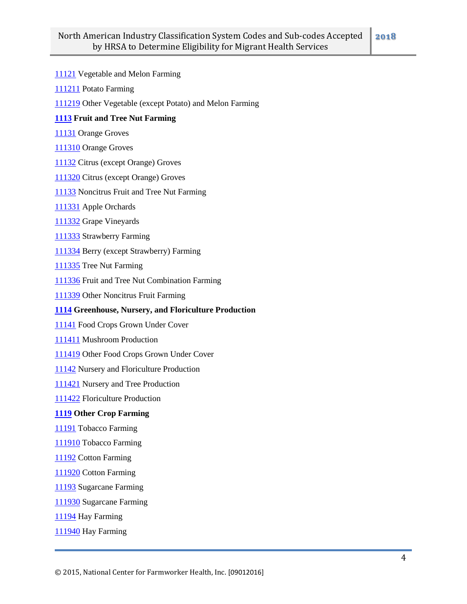Other Vegetable (except Potato) and Melon Farming **Fruit and Tree Nut Farming** Orange Groves Orange Groves Citrus (except Orange) Groves Citrus (except Orange) Groves Noncitrus Fruit and Tree Nut Farming Apple Orchards Grape Vineyards Strawberry Farming Berry (except Strawberry) Farming Tree Nut Farming Fruit and Tree Nut Combination Farming Other Noncitrus Fruit Farming **Greenhouse, Nursery, and Floriculture Production** Food Crops Grown Under Cover Mushroom Production Other Food Crops Grown Under Cover Nursery and Floriculture Production Nursery and Tree Production Floriculture Production **Other Crop Farming** Tobacco Farming

Vegetable and Melon Farming

Potato Farming

- 
- Tobacco Farming
- Cotton Farming
- Cotton Farming
- Sugarcane Farming
- Sugarcane Farming
- Hay Farming
- Hay Farming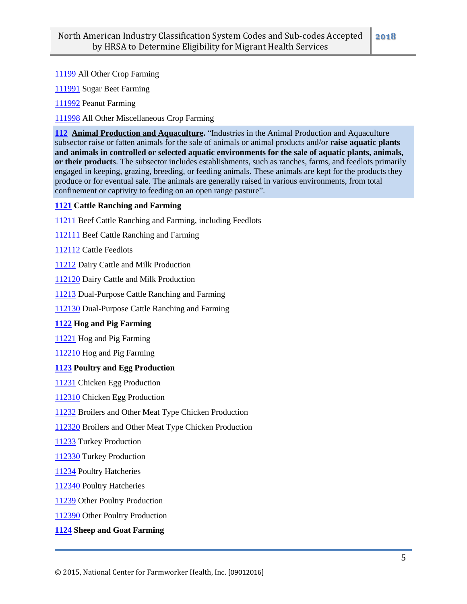- All Other Crop Farming
- Sugar Beet Farming
- Peanut Farming
- All Other Miscellaneous Crop Farming

 **Animal Production and Aquaculture.** "Industries in the Animal Production and Aquaculture subsector raise or fatten animals for the sale of animals or animal products and/or **raise aquatic plants and animals in controlled or selected aquatic environments for the sale of aquatic plants, animals, or their product**s. The subsector includes establishments, such as ranches, farms, and feedlots primarily engaged in keeping, grazing, breeding, or feeding animals. These animals are kept for the products they produce or for eventual sale. The animals are generally raised in various environments, from total confinement or captivity to feeding on an open range pasture".

## **Cattle Ranching and Farming**

- Beef Cattle Ranching and Farming, including Feedlots
- Beef Cattle Ranching and Farming
- Cattle Feedlots
- Dairy Cattle and Milk Production
- Dairy Cattle and Milk Production
- Dual-Purpose Cattle Ranching and Farming
- Dual-Purpose Cattle Ranching and Farming

#### **Hog and Pig Farming**

- Hog and Pig Farming
- Hog and Pig Farming

#### **Poultry and Egg Production**

- Chicken Egg Production
- Chicken Egg Production
- Broilers and Other Meat Type Chicken Production
- Broilers and Other Meat Type Chicken Production
- Turkey Production
- Turkey Production
- Poultry Hatcheries
- Poultry Hatcheries
- Other Poultry Production
- Other Poultry Production

#### **Sheep and Goat Farming**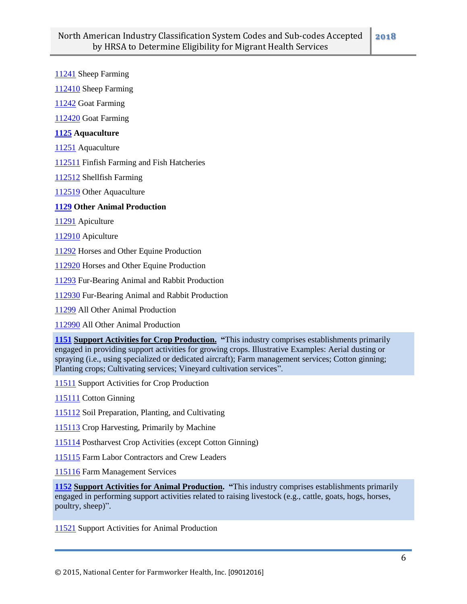- Sheep Farming
- Sheep Farming
- Goat Farming
- Goat Farming

## **Aquaculture**

- Aquaculture
- Finfish Farming and Fish Hatcheries
- Shellfish Farming
- Other Aquaculture

## **Other Animal Production**

- Apiculture
- Apiculture
- Horses and Other Equine Production
- Horses and Other Equine Production
- Fur-Bearing Animal and Rabbit Production
- Fur-Bearing Animal and Rabbit Production
- All Other Animal Production
- All Other Animal Production

 **Support Activities for Crop Production. "**This industry comprises establishments primarily engaged in providing support activities for growing crops. Illustrative Examples: Aerial dusting or spraying (i.e., using specialized or dedicated aircraft); Farm management services; Cotton ginning; Planting crops; Cultivating services; Vineyard cultivation services".

- Support Activities for Crop Production
- Cotton Ginning
- Soil Preparation, Planting, and Cultivating
- Crop Harvesting, Primarily by Machine
- Postharvest Crop Activities (except Cotton Ginning)
- Farm Labor Contractors and Crew Leaders
- Farm Management Services

 **Support Activities for Animal Production. "**This industry comprises establishments primarily engaged in performing support activities related to raising livestock (e.g., cattle, goats, hogs, horses, poultry, sheep)".

Support Activities for Animal Production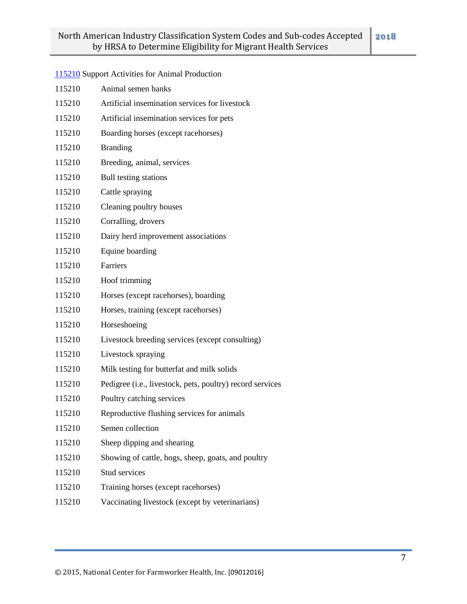# Support Activities for Animal Production

| 115210 | Animal semen banks                                        |
|--------|-----------------------------------------------------------|
| 115210 | Artificial insemination services for livestock            |
| 115210 | Artificial insemination services for pets                 |
| 115210 | Boarding horses (except racehorses)                       |
| 115210 | <b>Branding</b>                                           |
| 115210 | Breeding, animal, services                                |
| 115210 | Bull testing stations                                     |
| 115210 | Cattle spraying                                           |
| 115210 | Cleaning poultry houses                                   |
| 115210 | Corralling, drovers                                       |
| 115210 | Dairy herd improvement associations                       |
| 115210 | Equine boarding                                           |
| 115210 | Farriers                                                  |
| 115210 | Hoof trimming                                             |
| 115210 | Horses (except racehorses), boarding                      |
| 115210 | Horses, training (except racehorses)                      |
| 115210 | Horseshoeing                                              |
| 115210 | Livestock breeding services (except consulting)           |
| 115210 | Livestock spraying                                        |
| 115210 | Milk testing for butterfat and milk solids                |
| 115210 | Pedigree (i.e., livestock, pets, poultry) record services |
| 115210 | Poultry catching services                                 |
| 115210 | Reproductive flushing services for animals                |
| 115210 | Semen collection                                          |
| 115210 | Sheep dipping and shearing                                |
| 115210 | Showing of cattle, hogs, sheep, goats, and poultry        |
| 115210 | Stud services                                             |
| 115210 | Training horses (except racehorses)                       |
| 115210 | Vaccinating livestock (except by veterinarians)           |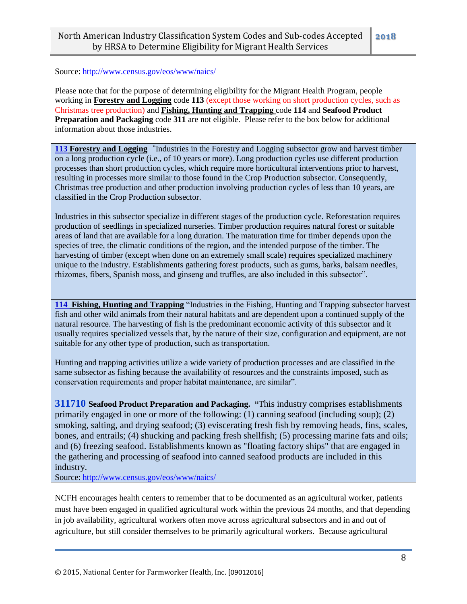Source:<http://www.census.gov/eos/www/naics/>

Please note that for the purpose of determining eligibility for the Migrant Health Program, people working in **Forestry and Logging** code **113** (except those working on short production cycles, such as Christmas tree production) and **Fishing, Hunting and Trapping** code **114** and **Seafood Product Preparation and Packaging code 311 are not eligible. Please refer to the box below for additional** information about those industries.

**113 Forestry and Logging** "Industries in the Forestry and Logging subsector grow and harvest timber on a long production cycle (i.e., of 10 years or more). Long production cycles use different production processes than short production cycles, which require more horticultural interventions prior to harvest, resulting in processes more similar to those found in the Crop Production subsector. Consequently, Christmas tree production and other production involving production cycles of less than 10 years, are classified in the Crop Production subsector.

Industries in this subsector specialize in different stages of the production cycle. Reforestation requires production of seedlings in specialized nurseries. Timber production requires natural forest or suitable areas of land that are available for a long duration. The maturation time for timber depends upon the species of tree, the climatic conditions of the region, and the intended purpose of the timber. The harvesting of timber (except when done on an extremely small scale) requires specialized machinery unique to the industry. Establishments gathering forest products, such as gums, barks, balsam needles, rhizomes, fibers, Spanish moss, and ginseng and truffles, are also included in this subsector".

**114 Fishing, Hunting and Trapping** "Industries in the Fishing, Hunting and Trapping subsector harvest fish and other wild animals from their natural habitats and are dependent upon a continued supply of the natural resource. The harvesting of fish is the predominant economic activity of this subsector and it usually requires specialized vessels that, by the nature of their size, configuration and equipment, are not suitable for any other type of production, such as transportation.

Hunting and trapping activities utilize a wide variety of production processes and are classified in the same subsector as fishing because the availability of resources and the constraints imposed, such as conservation requirements and proper habitat maintenance, are similar".

**311710 Seafood Product Preparation and Packaging. "**This industry comprises establishments primarily engaged in one or more of the following: (1) canning seafood (including soup); (2) smoking, salting, and drying seafood; (3) eviscerating fresh fish by removing heads, fins, scales, bones, and entrails; (4) shucking and packing fresh shellfish; (5) processing marine fats and oils; and (6) freezing seafood. Establishments known as "floating factory ships" that are engaged in the gathering and processing of seafood into canned seafood products are included in this industry.

Source:<http://www.census.gov/eos/www/naics/>

NCFH encourages health centers to remember that to be documented as an agricultural worker, patients must have been engaged in qualified agricultural work within the previous 24 months, and that depending in job availability, agricultural workers often move across agricultural subsectors and in and out of agriculture, but still consider themselves to be primarily agricultural workers. Because agricultural